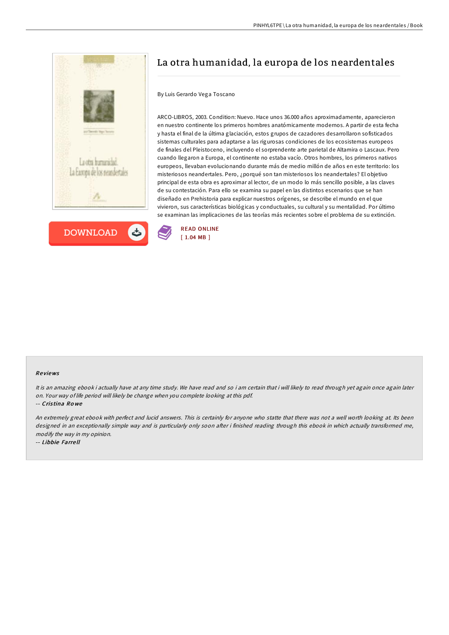



# La otra humanidad, la europa de los neardentales

## By Luis Gerardo Vega Toscano

ARCO-LIBROS, 2003. Condition: Nuevo. Hace unos 36.000 años aproximadamente, aparecieron en nuestro continente los primeros hombres anatómicamente modernos. A partir de esta fecha y hasta el final de la última glaciación, estos grupos de cazadores desarrollaron sofisticados sistemas culturales para adaptarse a las rigurosas condiciones de los ecosistemas europeos de finales del Pleistoceno, incluyendo el sorprendente arte parietal de Altamira o Lascaux. Pero cuando llegaron a Europa, el continente no estaba vacío. Otros hombres, los primeros nativos europeos, llevaban evolucionando durante más de medio millón de años en este territorio: los misteriosos neandertales. Pero, ¿porqué son tan misteriosos los neandertales? El objetivo principal de esta obra es aproximar al lector, de un modo lo más sencillo posible, a las claves de su contestación. Para ello se examina su papel en las distintos escenarios que se han diseñado en Prehistoria para explicar nuestros orígenes, se describe el mundo en el que vivieron, sus características biológicas y conductuales, su cultural y su mentalidad. Por último se examinan las implicaciones de las teorías más recientes sobre el problema de su extinción.



#### Re views

It is an amazing ebook i actually have at any time study. We have read and so i am certain that i will likely to read through yet again once again later on. Your way of life period will likely be change when you complete looking at this pdf.

-- Cris tina Ro we

An extremely great ebook with perfect and lucid answers. This is certainly for anyone who statte that there was not <sup>a</sup> well worth looking at. Its been designed in an exceptionally simple way and is particularly only soon after i finished reading through this ebook in which actually transformed me, modify the way in my opinion.

-- Libbie Farre ll